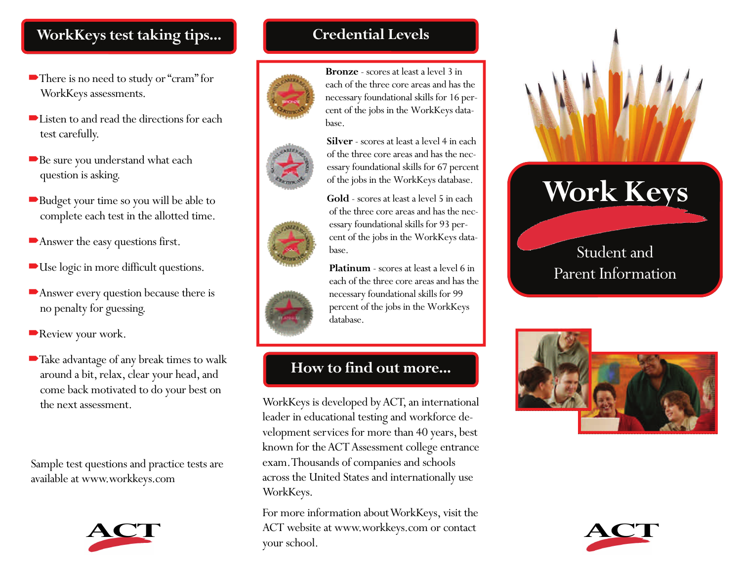## **WorkKeys test taking tips...**

- There is no need to study or "cram" for WorkKeys assessments.
- ■Listen to and read the directions for each test carefully.
- Be sure you understand what each question is asking.
- Budget your time so you will be able to complete each test in the allotted time.
- Answer the easy questions first.
- Use logic in more difficult questions.
- Answer every question because there is no penalty for guessing.
- Review your work.
- Take advantage of any break times to walk around a bit, relax, clear your head, and come back motivated to do your best on the next assessment.

Sample test questions and practice tests are available at www.workkeys.com



# **Credential Levels**







each of the three core areas and has the necessary foundational skills for 16 percent of the jobs in the WorkKeys database.

**Bronze** - scores at least a level 3 in





of the three core areas and has the necessary foundational skills for 93 percent of the jobs in the WorkKeys database.

**Gold** - scores at least a level 5 in each

**Platinum** - scores at least a level 6 in each of the three core areas and has the necessary foundational skills for 99 percent of the jobs in the WorkKeys database.

# **How to find out more...**

WorkKeys is developed by ACT, an international leader in educational testing and workforce development services for more than 40 years, best known for the ACT Assessment college entrance exam. Thousands of companies and schools across the United States and internationally use WorkKeys.

For more information about WorkKeys, visit the ACT website at www.workkeys.com or contact your school.



Student and Parent Information